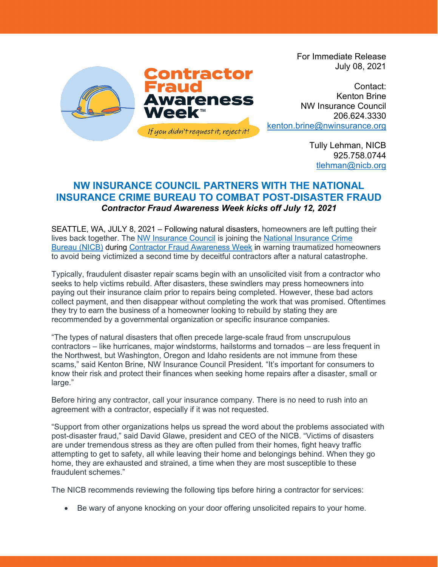

For Immediate Release July 08, 2021

Contact: Kenton Brine NW Insurance Council 206.624.3330 [kenton.brine@nwinsurance.org](mailto:kenton.brine@nwinsurance.org)

> Tully Lehman, NICB 925.758.0744 [tlehman@nicb.org](mailto:tlehman@nicb.org)

## **NW INSURANCE COUNCIL PARTNERS WITH THE NATIONAL INSURANCE CRIME BUREAU TO COMBAT POST-DISASTER FRAUD** *Contractor Fraud Awareness Week kicks off July 12, 2021*

SEATTLE, WA, JULY 8, 2021 – Following natural disasters, homeowners are left putting their lives back together. The [NW Insurance Council](https://www.nwinsurance.org/) is joining the [National Insurance Crime](http://www.nicb.org/)  [Bureau](http://www.nicb.org/) (NICB) during [Contractor Fraud Awareness Week](https://www.nicb.org/ContractorFraudWeek) in warning traumatized homeowners to avoid being victimized a second time by deceitful contractors after a natural catastrophe.

Typically, fraudulent disaster repair scams begin with an unsolicited visit from a contractor who seeks to help victims rebuild. After disasters, these swindlers may press homeowners into paying out their insurance claim prior to repairs being completed. However, these bad actors collect payment, and then disappear without completing the work that was promised. Oftentimes they try to earn the business of a homeowner looking to rebuild by stating they are recommended by a governmental organization or specific insurance companies.

"The types of natural disasters that often precede large-scale fraud from unscrupulous contractors – like hurricanes, major windstorms, hailstorms and tornados – are less frequent in the Northwest, but Washington, Oregon and Idaho residents are not immune from these scams," said Kenton Brine, NW Insurance Council President. "It's important for consumers to know their risk and protect their finances when seeking home repairs after a disaster, small or large."

Before hiring any contractor, call your insurance company. There is no need to rush into an agreement with a contractor, especially if it was not requested.

"Support from other organizations helps us spread the word about the problems associated with post-disaster fraud," said David Glawe, president and CEO of the NICB. "Victims of disasters are under tremendous stress as they are often pulled from their homes, fight heavy traffic attempting to get to safety, all while leaving their home and belongings behind. When they go home, they are exhausted and strained, a time when they are most susceptible to these fraudulent schemes."

The NICB recommends reviewing the following tips before hiring a contractor for services:

• Be wary of anyone knocking on your door offering unsolicited repairs to your home.